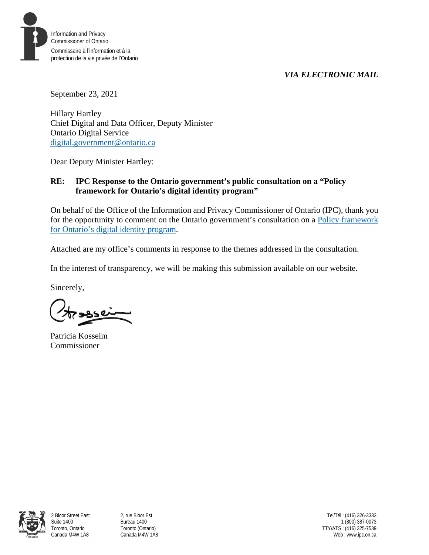

Information and Privacy Commissioner of Ontario Commissaire à l'information et à la protection de la vie privée de l'Ontario

September 23, 2021

Hillary Hartley Chief Digital and Data Officer, Deputy Minister Ontario Digital Service [digital.government@ontario.ca](mailto:digital.government@ontario.ca) 

Dear Deputy Minister Hartley:

# **RE: IPC Response to the Ontario government's public consultation on a "Policy framework for Ontario's digital identity program"**

On behalf of the Office of the Information and Privacy Commissioner of Ontario (IPC), thank you for the opportunity to comment on the Ontario government's consultation on a [Policy framework](https://www.ontario.ca/page/consultation-policy-framework-ontarios-digital-identity-program)  for Ontario's [digital identity program.](https://www.ontario.ca/page/consultation-policy-framework-ontarios-digital-identity-program)

Attached are my office's comments in response to the themes addressed in the consultation.

In the interest of transparency, we will be making this submission available on our website.

Sincerely,

Patricia Kosseim Commissioner

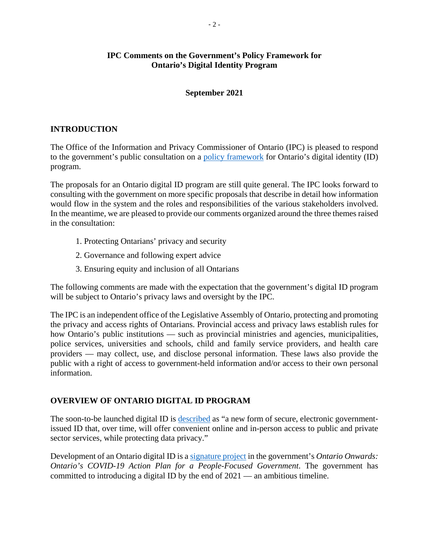# **IPC Comments on the Government's Policy Framework for Ontario's Digital Identity Program**

## **September 2021**

# **INTRODUCTION**

The Office of the Information and Privacy Commissioner of Ontario (IPC) is pleased to respond to the government's public consultation on a [policy framework](https://www.ontario.ca/page/consultation-policy-framework-ontarios-digital-identity-program) for Ontario's digital identity (ID) program.

The proposals for an Ontario digital ID program are still quite general. The IPC looks forward to consulting with the government on more specific proposals that describe in detail how information would flow in the system and the roles and responsibilities of the various stakeholders involved. In the meantime, we are pleased to provide our comments organized around the three themes raised in the consultation:

- 1. Protecting Ontarians' privacy and security
- 2. Governance and following expert advice
- 3. Ensuring equity and inclusion of all Ontarians

The following comments are made with the expectation that the government's digital ID program will be subject to Ontario's privacy laws and oversight by the IPC.

The IPC is an independent office of the Legislative Assembly of Ontario, protecting and promoting the privacy and access rights of Ontarians. Provincial access and privacy laws establish rules for how Ontario's public institutions — such as provincial ministries and agencies, municipalities, police services, universities and schools, child and family service providers, and health care providers — may collect, use, and disclose personal information. These laws also provide the public with a right of access to government-held information and/or access to their own personal information.

# **OVERVIEW OF ONTARIO DIGITAL ID PROGRAM**

The soon-to-be launched digital ID is [described](https://www.ontario.ca/page/consultation-policy-framework-ontarios-digital-identity-program) as "a new form of secure, electronic governmentissued ID that, over time, will offer convenient online and in-person access to public and private sector services, while protecting data privacy."

Development of an Ontario digital ID is [a signature project](https://news.ontario.ca/en/release/60211/ontario-seeks-public-input-to-help-shape-digital-id-program) in the government's *Ontario Onwards: Ontario's COVID-19 Action Plan for a People-Focused Government*. The government has committed to introducing a digital ID by the end of 2021 — an ambitious timeline.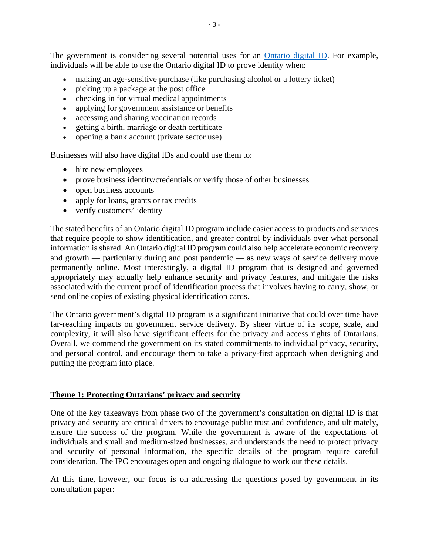The government is considering several potential uses for an **Ontario digital ID**. For example, individuals will be able to use the Ontario digital ID to prove identity when:

- making an age-sensitive purchase (like purchasing alcohol or a lottery ticket)
- picking up a package at the post office
- checking in for virtual medical appointments
- applying for government assistance or benefits
- accessing and sharing vaccination records
- getting a birth, marriage or death certificate
- opening a bank account (private sector use)

Businesses will also have digital IDs and could use them to:

- hire new employees
- prove business identity/credentials or verify those of other businesses
- open business accounts
- apply for loans, grants or tax credits
- verify customers' identity

The stated benefits of an Ontario digital ID program include easier access to products and services that require people to show identification, and greater control by individuals over what personal information is shared. An Ontario digital ID program could also help accelerate economic recovery and growth — particularly during and post pandemic — as new ways of service delivery move permanently online. Most interestingly, a digital ID program that is designed and governed appropriately may actually help enhance security and privacy features, and mitigate the risks associated with the current proof of identification process that involves having to carry, show, or send online copies of existing physical identification cards.

The Ontario government's digital ID program is a significant initiative that could over time have far-reaching impacts on government service delivery. By sheer virtue of its scope, scale, and complexity, it will also have significant effects for the privacy and access rights of Ontarians. Overall, we commend the government on its stated commitments to individual privacy, security, and personal control, and encourage them to take a privacy-first approach when designing and putting the program into place.

#### **Theme 1: Protecting Ontarians' privacy and security**

One of the key takeaways from phase two of the government's consultation on digital ID is that privacy and security are critical drivers to encourage public trust and confidence, and ultimately, ensure the success of the program. While the government is aware of the expectations of individuals and small and medium-sized businesses, and understands the need to protect privacy and security of personal information, the specific details of the program require careful consideration. The IPC encourages open and ongoing dialogue to work out these details.

At this time, however, our focus is on addressing the questions posed by government in its consultation paper: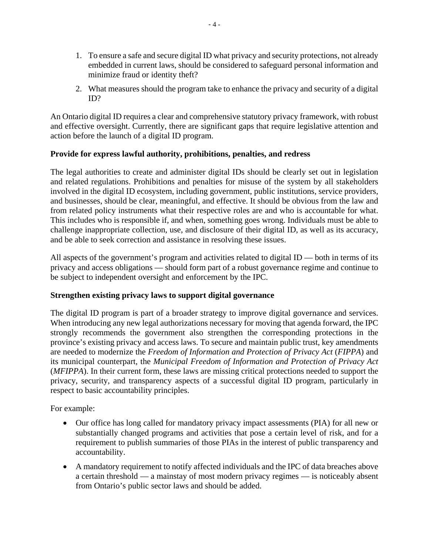- 1. To ensure a safe and secure digital ID what privacy and security protections, not already embedded in current laws, should be considered to safeguard personal information and minimize fraud or identity theft?
- 2. What measures should the program take to enhance the privacy and security of a digital ID?

An Ontario digital ID requires a clear and comprehensive statutory privacy framework, with robust and effective oversight. Currently, there are significant gaps that require legislative attention and action before the launch of a digital ID program.

# **Provide for express lawful authority, prohibitions, penalties, and redress**

The legal authorities to create and administer digital IDs should be clearly set out in legislation and related regulations. Prohibitions and penalties for misuse of the system by all stakeholders involved in the digital ID ecosystem, including government, public institutions, service providers, and businesses, should be clear, meaningful, and effective. It should be obvious from the law and from related policy instruments what their respective roles are and who is accountable for what. This includes who is responsible if, and when, something goes wrong. Individuals must be able to challenge inappropriate collection, use, and disclosure of their digital ID, as well as its accuracy, and be able to seek correction and assistance in resolving these issues.

All aspects of the government's program and activities related to digital ID — both in terms of its privacy and access obligations — should form part of a robust governance regime and continue to be subject to independent oversight and enforcement by the IPC.

### **Strengthen existing privacy laws to support digital governance**

The digital ID program is part of a broader strategy to improve digital governance and services. When introducing any new legal authorizations necessary for moving that agenda forward, the IPC strongly recommends the government also strengthen the corresponding protections in the province's existing privacy and access laws. To secure and maintain public trust, key amendments are needed to modernize the *Freedom of Information and Protection of Privacy Act* (*FIPPA*) and its municipal counterpart, the *Municipal Freedom of Information and Protection of Privacy Act* (*MFIPPA*). In their current form, these laws are missing critical protections needed to support the privacy, security, and transparency aspects of a successful digital ID program, particularly in respect to basic accountability principles.

For example:

- Our office has long called for mandatory privacy impact assessments (PIA) for all new or substantially changed programs and activities that pose a certain level of risk, and for a requirement to publish summaries of those PIAs in the interest of public transparency and accountability.
- A mandatory requirement to notify affected individuals and the IPC of data breaches above a certain threshold — a mainstay of most modern privacy regimes — is noticeably absent from Ontario's public sector laws and should be added.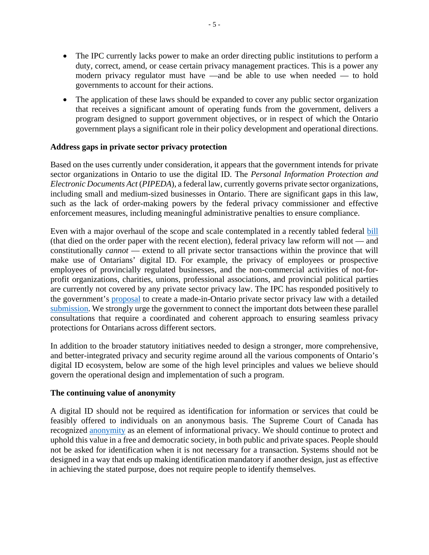- The IPC currently lacks power to make an order directing public institutions to perform a duty, correct, amend, or cease certain privacy management practices. This is a power any modern privacy regulator must have —and be able to use when needed — to hold governments to account for their actions.
- The application of these laws should be expanded to cover any public sector organization that receives a significant amount of operating funds from the government, delivers a program designed to support government objectives, or in respect of which the Ontario government plays a significant role in their policy development and operational directions.

## **Address gaps in private sector privacy protection**

Based on the uses currently under consideration, it appears that the government intends for private sector organizations in Ontario to use the digital ID. The *Personal Information Protection and Electronic Documents Act* (*PIPEDA*), a federal law, currently governs private sector organizations, including small and medium-sized businesses in Ontario. There are significant gaps in this law, such as the lack of order-making powers by the federal privacy commissioner and effective enforcement measures, including meaningful administrative penalties to ensure compliance.

Even with a major overhaul of the scope and scale contemplated in a recently tabled federal **bill** (that died on the order paper with the recent election), federal privacy law reform will not — and constitutionally *cannot* — extend to all private sector transactions within the province that will make use of Ontarians' digital ID. For example, the privacy of employees or prospective employees of provincially regulated businesses, and the non-commercial activities of not-forprofit organizations, charities, unions, professional associations, and provincial political parties are currently not covered by any private sector privacy law. The IPC has responded positively to the government's [proposal](https://www.ontariocanada.com/registry/showAttachment.do?postingId=37468&attachmentId=49462) to create a made-in-Ontario private sector privacy law with a detailed [submission.](https://www.ipc.on.ca/newsrelease/leave-no-ontarian-behind-why-ontario-should-move-ahead-with-its-own-private-sector-privacy-law-with-or-without-federal-reform/) We strongly urge the government to connect the important dots between these parallel consultations that require a coordinated and coherent approach to ensuring seamless privacy protections for Ontarians across different sectors.

In addition to the broader statutory initiatives needed to design a stronger, more comprehensive, and better-integrated privacy and security regime around all the various components of Ontario's digital ID ecosystem, below are some of the high level principles and values we believe should govern the operational design and implementation of such a program.

### **The continuing value of anonymity**

A digital ID should not be required as identification for information or services that could be feasibly offered to individuals on an anonymous basis. The Supreme Court of Canada has [recognized](https://scc-csc.lexum.com/scc-csc/scc-csc/en/item/14233/index.do) [anonymity](https://scc-csc.lexum.com/scc-csc/scc-csc/en/item/14233/index.do) as an element of informational privacy. We should continue to protect and uphold this value in a free and democratic society, in both public and private spaces. People should not be asked for identification when it is not necessary for a transaction. Systems should not be designed in a way that ends up making identification mandatory if another design, just as effective in achieving the stated purpose, does not require people to identify themselves.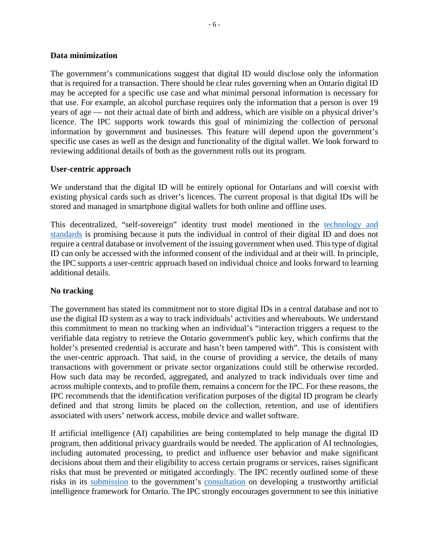### **Data minimization**

The government's communications suggest that digital ID would disclose only the information that is required for a transaction. There should be clear rules governing when an Ontario digital ID may be accepted for a specific use case and what minimal personal information is necessary for that use. For example, an alcohol purchase requires only the information that a person is over 19 years of age — not their actual date of birth and address, which are visible on a physical driver's licence. The IPC supports work towards this goal of minimizing the collection of personal information by government and businesses. This feature will depend upon the government's specific use cases as well as the design and functionality of the digital wallet. We look forward to reviewing additional details of both as the government rolls out its program.

### **User-centric approach**

We understand that the digital ID will be entirely optional for Ontarians and will coexist with existing physical cards such as driver's licences. The current proposal is that digital IDs will be stored and managed in smartphone digital wallets for both online and offline uses.

This decentralized, "self-sovereign" identity trust model mentioned in the [technology and](https://www.ontario.ca/page/ontarios-digital-id-technology-and-standards)  [standards](https://www.ontario.ca/page/ontarios-digital-id-technology-and-standards) is promising because it puts the individual in control of their digital ID and does not require a central database or involvement of the issuing government when used. This type of digital ID can only be accessed with the informed consent of the individual and at their will. In principle, the IPC supports a user-centric approach based on individual choice and looks forward to learning additional details.

### **No tracking**

The government has stated its commitment not to store digital IDs in a central database and not to use the digital ID system as a way to track individuals' activities and whereabouts. We understand this commitment to mean no tracking when an individual's "interaction triggers a request to the verifiable data registry to retrieve the Ontario government's public key, which confirms that the holder's presented credential is accurate and hasn't been tampered with". This is consistent with the user-centric approach. That said, in the course of providing a service, the details of many transactions with government or private sector organizations could still be otherwise recorded. How such data may be recorded, aggregated, and analyzed to track individuals over time and across multiple contexts, and to profile them, remains a concern for the IPC. For these reasons, the IPC recommends that the identification verification purposes of the digital ID program be clearly defined and that strong limits be placed on the collection, retention, and use of identifiers associated with users' network access, mobile device and wallet software.

If artificial intelligence (AI) capabilities are being contemplated to help manage the digital ID program, then additional privacy guardrails would be needed. The application of AI technologies, including automated processing, to predict and influence user behavior and make significant decisions about them and their eligibility to access certain programs or services, raises significant risks that must be prevented or mitigated accordingly. The IPC recently outlined some of these risks in its [submission](https://www.ipc.on.ca/wp-content/uploads/2021/06/2021-06-04-ipc-comments-on-ai-framework.pdf) to the government's [consultation](https://www.ontario.ca/page/ontarios-trustworthy-artificial-intelligence-ai-framework-consultations) on developing a trustworthy artificial intelligence framework for Ontario. The IPC strongly encourages government to see this initiative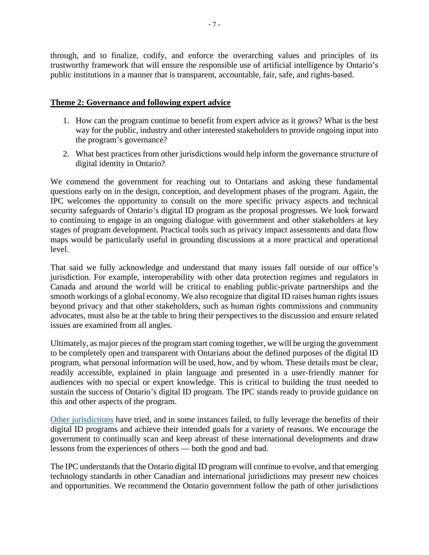through, and to finalize, codify, and enforce the overarching values and principles of its trustworthy framework that will ensure the responsible use of artificial intelligence by Ontario's public institutions in a manner that is transparent, accountable, fair, safe, and rights-based.

### **Theme 2: Governance and following expert advice**

- 1. How can the program continue to benefit from expert advice as it grows? What is the best way for the public, industry and other interested stakeholders to provide ongoing input into the program's governance?
- 2. What best practices from other jurisdictions would help inform the governance structure of digital identity in Ontario?

We commend the government for reaching out to Ontarians and asking these fundamental questions early on in the design, conception, and development phases of the program. Again, the IPC welcomes the opportunity to consult on the more specific privacy aspects and technical security safeguards of Ontario's digital ID program as the proposal progresses. We look forward to continuing to engage in an ongoing dialogue with government and other stakeholders at key stages of program development. Practical tools such as privacy impact assessments and data flow maps would be particularly useful in grounding discussions at a more practical and operational level.

That said we fully acknowledge and understand that many issues fall outside of our office's jurisdiction. For example, interoperability with other data protection regimes and regulators in Canada and around the world will be critical to enabling public-private partnerships and the smooth workings of a global economy. We also recognize that digital ID raises human rights issues beyond privacy and that other stakeholders, such as human rights commissions and community advocates, must also be at the table to bring their perspectives to the discussion and ensure related issues are examined from all angles.

Ultimately, as major pieces of the program start coming together, we will be urging the government to be completely open and transparent with Ontarians about the defined purposes of the digital ID program, what personal information will be used, how, and by whom. These details must be clear, readily accessible, explained in plain language and presented in a user-friendly manner for audiences with no special or expert knowledge. This is critical to building the trust needed to sustain the success of Ontario's digital ID program. The IPC stands ready to provide guidance on this and other aspects of the program.

[Other jurisdictions](https://www.mckinsey.com/industries/public-and-social-sector/our-insights/how-governments-can-deliver-on-the-promise-of-digital-id) have tried, and in some instances failed, to fully leverage the benefits of their digital ID programs and achieve their intended goals for a variety of reasons. We encourage the government to continually scan and keep abreast of these international developments and draw lessons from the experiences of others — both the good and bad.

The IPC understands that the Ontario digital ID program will continue to evolve, and that emerging technology standards in other Canadian and international jurisdictions may present new choices and opportunities. We recommend the Ontario government follow the path of other jurisdictions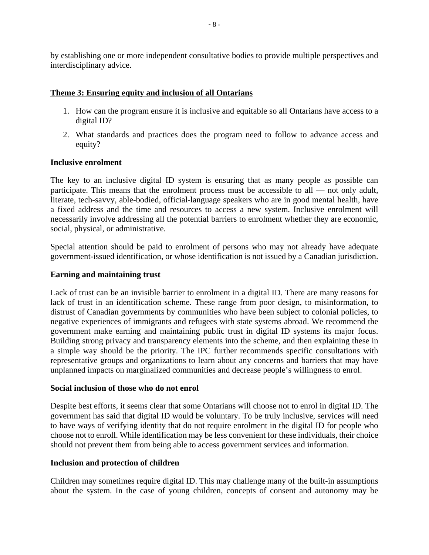by establishing one or more independent consultative bodies to provide multiple perspectives and interdisciplinary advice.

### **Theme 3: Ensuring equity and inclusion of all Ontarians**

- 1. How can the program ensure it is inclusive and equitable so all Ontarians have access to a digital ID?
- 2. What standards and practices does the program need to follow to advance access and equity?

### **Inclusive enrolment**

The key to an inclusive digital ID system is ensuring that as many people as possible can participate. This means that the enrolment process must be accessible to all — not only adult, literate, tech-savvy, able-bodied, official-language speakers who are in good mental health, have a fixed address and the time and resources to access a new system. Inclusive enrolment will necessarily involve addressing all the potential barriers to enrolment whether they are economic, social, physical, or administrative.

Special attention should be paid to enrolment of persons who may not already have adequate government-issued identification, or whose identification is not issued by a Canadian jurisdiction.

### **Earning and maintaining trust**

Lack of trust can be an invisible barrier to enrolment in a digital ID. There are many reasons for lack of trust in an identification scheme. These range from poor design, to misinformation, to distrust of Canadian governments by communities who have been subject to colonial policies, to negative experiences of immigrants and refugees with state systems abroad. We recommend the government make earning and maintaining public trust in digital ID systems its major focus. Building strong privacy and transparency elements into the scheme, and then explaining these in a simple way should be the priority. The IPC further recommends specific consultations with representative groups and organizations to learn about any concerns and barriers that may have unplanned impacts on marginalized communities and decrease people's willingness to enrol.

#### **Social inclusion of those who do not enrol**

Despite best efforts, it seems clear that some Ontarians will choose not to enrol in digital ID. The government has said that digital ID would be voluntary. To be truly inclusive, services will need to have ways of verifying identity that do not require enrolment in the digital ID for people who choose not to enroll. While identification may be less convenient for these individuals, their choice should not prevent them from being able to access government services and information.

#### **Inclusion and protection of children**

Children may sometimes require digital ID. This may challenge many of the built-in assumptions about the system. In the case of young children, concepts of consent and autonomy may be